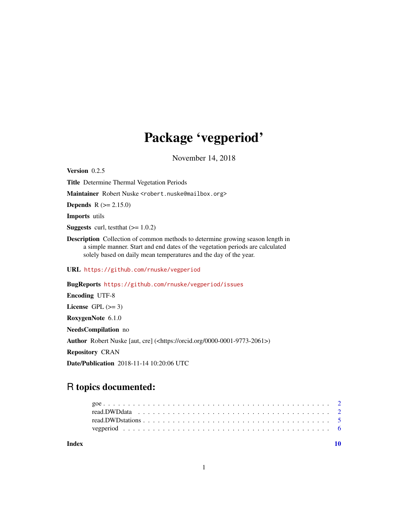# Package 'vegperiod'

November 14, 2018

<span id="page-0-0"></span>Version 0.2.5 Title Determine Thermal Vegetation Periods Maintainer Robert Nuske <robert.nuske@mailbox.org> **Depends**  $R$  ( $>= 2.15.0$ ) Imports utils **Suggests** curl, test that  $(>= 1.0.2)$ Description Collection of common methods to determine growing season length in a simple manner. Start and end dates of the vegetation periods are calculated solely based on daily mean temperatures and the day of the year. URL <https://github.com/rnuske/vegperiod> BugReports <https://github.com/rnuske/vegperiod/issues> Encoding UTF-8 License GPL  $(>= 3)$ RoxygenNote 6.1.0 NeedsCompilation no

Author Robert Nuske [aut, cre] (<https://orcid.org/0000-0001-9773-2061>)

Repository CRAN

Date/Publication 2018-11-14 10:20:06 UTC

## R topics documented:

 $\blacksquare$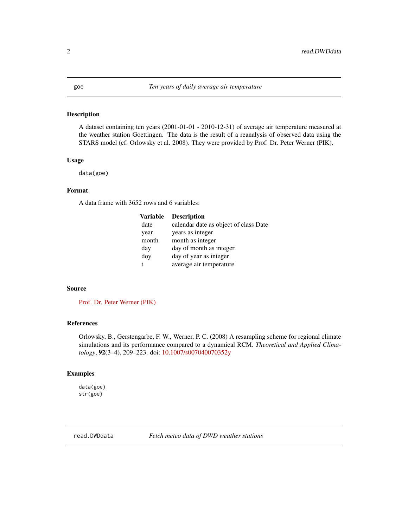#### <span id="page-1-0"></span>Description

A dataset containing ten years (2001-01-01 - 2010-12-31) of average air temperature measured at the weather station Goettingen. The data is the result of a reanalysis of observed data using the STARS model (cf. Orlowsky et al. 2008). They were provided by Prof. Dr. Peter Werner (PIK).

#### Usage

data(goe)

### Format

A data frame with 3652 rows and 6 variables:

| <b>Variable</b> | <b>Description</b>                    |
|-----------------|---------------------------------------|
| date            | calendar date as object of class Date |
| year            | years as integer                      |
| month           | month as integer                      |
| day             | day of month as integer               |
| doy             | day of year as integer                |
|                 | average air temperature               |

#### Source

[Prof. Dr. Peter Werner \(PIK\)](https://www.pik-potsdam.de/members/pcwerner)

#### References

Orlowsky, B., Gerstengarbe, F. W., Werner, P. C. (2008) A resampling scheme for regional climate simulations and its performance compared to a dynamical RCM. *Theoretical and Applied Climatology*, 92(3–4), 209–223. doi: [10.1007/s007040070352y](http://doi.org/10.1007/s00704-007-0352-y)

#### Examples

data(goe) str(goe)

read.DWDdata *Fetch meteo data of DWD weather stations*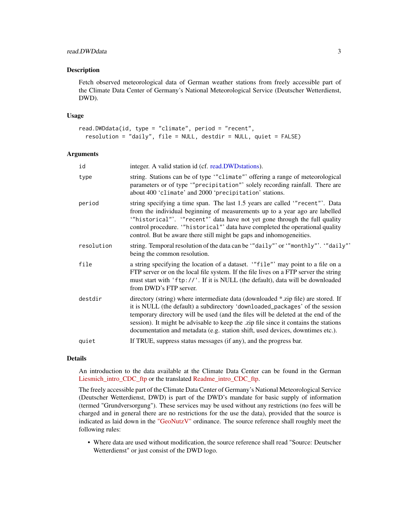#### <span id="page-2-0"></span>read.DWDdata 3

#### Description

Fetch observed meteorological data of German weather stations from freely accessible part of the Climate Data Center of Germany's National Meteorological Service (Deutscher Wetterdienst, DWD).

#### Usage

```
read.DWDdata(id, type = "climate", period = "recent",
 resolution = "daily", file = NULL, destdir = NULL, quiet = FALSE)
```
#### Arguments

| id         | integer. A valid station id (cf. read.DWD stations).                                                                                                                                                                                                                                                                                                                                                                             |
|------------|----------------------------------------------------------------------------------------------------------------------------------------------------------------------------------------------------------------------------------------------------------------------------------------------------------------------------------------------------------------------------------------------------------------------------------|
| type       | string. Stations can be of type "climate" offering a range of meteorological<br>parameters or of type "precipitation" solely recording rainfall. There are<br>about 400 'climate' and 2000 'precipitation' stations.                                                                                                                                                                                                             |
| period     | string specifying a time span. The last 1.5 years are called "recent". Data<br>from the individual beginning of measurements up to a year ago are labelled<br>"historical"'. "recent"' data have not yet gone through the full quality<br>control procedure. "historical" data have completed the operational quality<br>control. But be aware there still might be gaps and inhomogeneities.                                    |
| resolution | string. Temporal resolution of the data can be "daily"' or "monthly"'. "daily"'<br>being the common resolution.                                                                                                                                                                                                                                                                                                                  |
| file       | a string specifying the location of a dataset. "file" may point to a file on a<br>FTP server or on the local file system. If the file lives on a FTP server the string<br>must start with 'ftp://'. If it is NULL (the default), data will be downloaded<br>from DWD's FTP server.                                                                                                                                               |
| destdir    | directory (string) where intermediate data (downloaded *.zip file) are stored. If<br>it is NULL (the default) a subdirectory 'downloaded_packages' of the session<br>temporary directory will be used (and the files will be deleted at the end of the<br>session). It might be advisable to keep the .zip file since it contains the stations<br>documentation and metadata (e.g. station shift, used devices, downtimes etc.). |
| quiet      | If TRUE, suppress status messages (if any), and the progress bar.                                                                                                                                                                                                                                                                                                                                                                |

#### Details

An introduction to the data available at the Climate Data Center can be found in the German [Liesmich\\_intro\\_CDC\\_ftp](ftp://ftp-cdc.dwd.de/pub/CDC/Liesmich_intro_CDC-FTP.pdf) or the translated [Readme\\_intro\\_CDC\\_ftp.](ftp://ftp-cdc.dwd.de/pub/CDC/Readme_intro_CDC_ftp.pdf)

The freely accessible part of the Climate Data Center of Germany's National Meteorological Service (Deutscher Wetterdienst, DWD) is part of the DWD's mandate for basic supply of information (termed "Grundversorgung"). These services may be used without any restrictions (no fees will be charged and in general there are no restrictions for the use the data), provided that the source is indicated as laid down in the ["GeoNutzV"](http://www.gesetze-im-internet.de/geonutzv/BJNR054700013.html) ordinance. The source reference shall roughly meet the following rules:

• Where data are used without modification, the source reference shall read "Source: Deutscher Wetterdienst" or just consist of the DWD logo.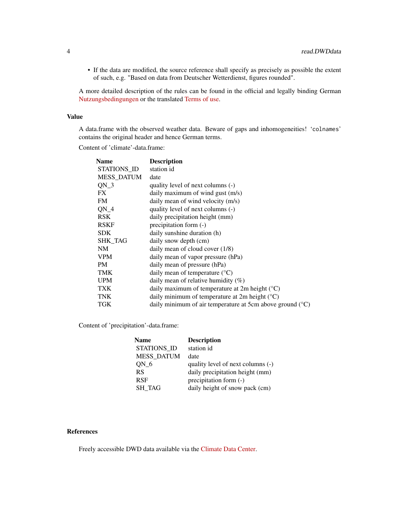• If the data are modified, the source reference shall specify as precisely as possible the extent of such, e.g. "Based on data from Deutscher Wetterdienst, figures rounded".

A more detailed description of the rules can be found in the official and legally binding German [Nutzungsbedingungen](ftp://ftp-cdc.dwd.de/pub/CDC/Nutzungsbedingungen_German.pdf) or the translated [Terms of use.](ftp://ftp-cdc.dwd.de/pub/CDC/Terms_of_use.pdf)

#### Value

A data.frame with the observed weather data. Beware of gaps and inhomogeneities! 'colnames' contains the original header and hence German terms.

Content of 'climate'-data.frame:

| <b>Name</b>       | <b>Description</b>                                                   |
|-------------------|----------------------------------------------------------------------|
| STATIONS ID       | station id                                                           |
| <b>MESS_DATUM</b> | date                                                                 |
| $QN_3$            | quality level of next columns (-)                                    |
| FX.               | daily maximum of wind gust $(m/s)$                                   |
| <b>FM</b>         | daily mean of wind velocity (m/s)                                    |
| $QN_4$            | quality level of next columns (-)                                    |
| <b>RSK</b>        | daily precipitation height (mm)                                      |
| <b>RSKF</b>       | precipitation form (-)                                               |
| <b>SDK</b>        | daily sunshine duration (h)                                          |
| <b>SHK_TAG</b>    | daily snow depth (cm)                                                |
| <b>NM</b>         | daily mean of cloud cover $(1/8)$                                    |
| VPM               | daily mean of vapor pressure (hPa)                                   |
| <b>PM</b>         | daily mean of pressure (hPa)                                         |
| <b>TMK</b>        | daily mean of temperature $(^{\circ}C)$                              |
| <b>UPM</b>        | daily mean of relative humidity $(\%)$                               |
| <b>TXK</b>        | daily maximum of temperature at 2m height $({}^{\circ}C)$            |
| <b>TNK</b>        | daily minimum of temperature at 2m height $({}^{\circ}C)$            |
| TGK               | daily minimum of air temperature at 5cm above ground $({}^{\circ}C)$ |
|                   |                                                                      |

Content of 'precipitation'-data.frame:

| <b>Name</b>       | <b>Description</b>                |
|-------------------|-----------------------------------|
| STATIONS ID       | station id                        |
| <b>MESS DATUM</b> | date                              |
| ON 6              | quality level of next columns (-) |
| <b>RS</b>         | daily precipitation height (mm)   |
| <b>RSF</b>        | precipitation form $(-)$          |
| <b>SH TAG</b>     | daily height of snow pack (cm)    |

#### References

Freely accessible DWD data available via the [Climate Data Center.](https://www.dwd.de/EN/climate_environment/cdc/cdc.html)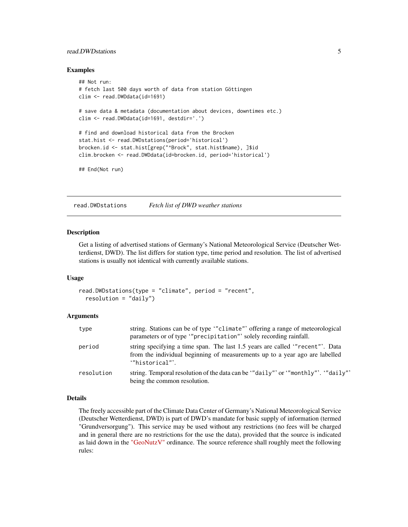#### <span id="page-4-0"></span>read.DWDstations 5

#### Examples

```
## Not run:
# fetch last 500 days worth of data from station Göttingen
clim <- read.DWDdata(id=1691)
# save data & metadata (documentation about devices, downtimes etc.)
clim <- read.DWDdata(id=1691, destdir='.')
# find and download historical data from the Brocken
stat.hist <- read.DWDstations(period='historical')
brocken.id <- stat.hist[grep("^Brock", stat.hist$name), ]$id
clim.brocken <- read.DWDdata(id=brocken.id, period='historical')
## End(Not run)
```
<span id="page-4-1"></span>read.DWDstations *Fetch list of DWD weather stations*

#### Description

Get a listing of advertised stations of Germany's National Meteorological Service (Deutscher Wetterdienst, DWD). The list differs for station type, time period and resolution. The list of advertised stations is usually not identical with currently available stations.

#### Usage

```
read.DWDstations(type = "climate", period = "recent",
  resolution = "daily")
```
#### Arguments

| type       | string. Stations can be of type "climate" offering a range of meteorological<br>parameters or of type "precipitation" solely recording rainfall.                              |
|------------|-------------------------------------------------------------------------------------------------------------------------------------------------------------------------------|
| period     | string specifying a time span. The last 1.5 years are called "recent". Data<br>from the individual beginning of measurements up to a year ago are labelled<br>""historical"". |
| resolution | string. Temporal resolution of the data can be "daily" or ""monthly"'. "daily"<br>being the common resolution.                                                                |

#### Details

The freely accessible part of the Climate Data Center of Germany's National Meteorological Service (Deutscher Wetterdienst, DWD) is part of DWD's mandate for basic supply of information (termed "Grundversorgung"). This service may be used without any restrictions (no fees will be charged and in general there are no restrictions for the use the data), provided that the source is indicated as laid down in the ["GeoNutzV"](http://www.gesetze-im-internet.de/geonutzv/BJNR054700013.html) ordinance. The source reference shall roughly meet the following rules: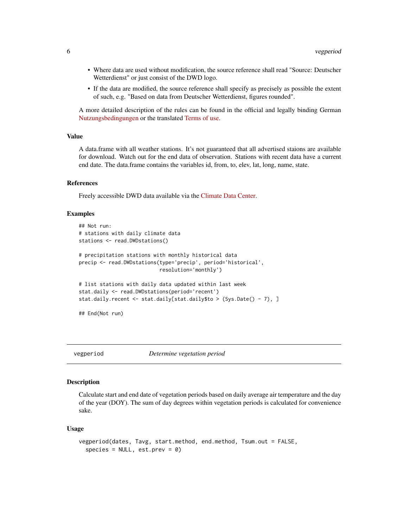- <span id="page-5-0"></span>• Where data are used without modification, the source reference shall read "Source: Deutscher Wetterdienst" or just consist of the DWD logo.
- If the data are modified, the source reference shall specify as precisely as possible the extent of such, e.g. "Based on data from Deutscher Wetterdienst, figures rounded".

A more detailed description of the rules can be found in the official and legally binding German [Nutzungsbedingungen](ftp://ftp-cdc.dwd.de/pub/CDC/Nutzungsbedingungen_German.pdf) or the translated [Terms of use.](ftp://ftp-cdc.dwd.de/pub/CDC/Terms_of_use.pdf)

#### Value

A data.frame with all weather stations. It's not guaranteed that all advertised staions are available for download. Watch out for the end data of observation. Stations with recent data have a current end date. The data.frame contains the variables id, from, to, elev, lat, long, name, state.

#### References

Freely accessible DWD data available via the [Climate Data Center.](https://www.dwd.de/EN/climate_environment/cdc/cdc.html)

#### Examples

```
## Not run:
# stations with daily climate data
stations <- read.DWDstations()
# precipitation stations with monthly historical data
precip <- read.DWDstations(type='precip', period='historical',
                           resolution='monthly')
# list stations with daily data updated within last week
stat.daily <- read.DWDstations(period='recent')
stat.daily.recent <- stat.daily[stat.daily$to > (Sys.Date() - 7), ]
## End(Not run)
```
vegperiod *Determine vegetation period*

#### **Description**

Calculate start and end date of vegetation periods based on daily average air temperature and the day of the year (DOY). The sum of day degrees within vegetation periods is calculated for convenience sake.

#### Usage

```
vegperiod(dates, Tavg, start.method, end.method, Tsum.out = FALSE,
  species = NULL, est.prev = 0)
```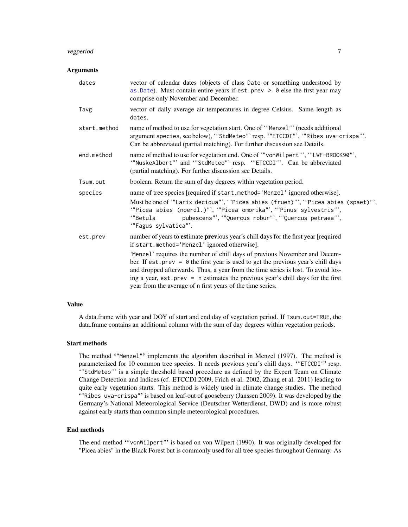#### <span id="page-6-0"></span>vegperiod and the set of the set of the set of the set of the set of the set of the set of the set of the set of the set of the set of the set of the set of the set of the set of the set of the set of the set of the set of

#### Arguments

| dates        | vector of calendar dates (objects of class Date or something understood by<br>as Date). Must contain entire years if est. prev $> 0$ else the first year may<br>comprise only November and December.                                                                                                                                                                                                          |
|--------------|---------------------------------------------------------------------------------------------------------------------------------------------------------------------------------------------------------------------------------------------------------------------------------------------------------------------------------------------------------------------------------------------------------------|
| Tavg         | vector of daily average air temperatures in degree Celsius. Same length as<br>dates.                                                                                                                                                                                                                                                                                                                          |
| start.method | name of method to use for vegetation start. One of "Menzel"' (needs additional<br>argument species, see below), "'StdMeteo"' resp. '"ETCCDI"', '"Ribes uva-crispa"'.<br>Can be abbreviated (partial matching). For further discussion see Details.                                                                                                                                                            |
| end.method   | name of method to use for vegetation end. One of "vonWilpert"', "LWF-BROOK90"',<br>"NuskeAlbert"' and "StdMeteo"' resp. "ETCCDI"'. Can be abbreviated<br>(partial matching). For further discussion see Details.                                                                                                                                                                                              |
| Tsum.out     | boolean. Return the sum of day degrees within vegetation period.                                                                                                                                                                                                                                                                                                                                              |
| species      | name of tree species [required if start.method='Menzel' ignored otherwise].                                                                                                                                                                                                                                                                                                                                   |
|              | Must be one of "Larix decidua", "Picea abies (frueh)"', "Picea abies (spaet)"',<br>"Picea abies (noerdl.)"', "Picea omorika"', "Pinus sylvestris"',<br>pubescens"', "Quercus robur"', "Quercus petraea"',<br>'"Betula<br>"Fagus sylvatica"'.                                                                                                                                                                  |
| est.prev     | number of years to estimate previous year's chill days for the first year [required<br>if start.method='Menzel' ignored otherwise].                                                                                                                                                                                                                                                                           |
|              | 'Menzel' requires the number of chill days of previous November and Decem-<br>ber. If est. prev = $\theta$ the first year is used to get the previous year's chill days<br>and dropped afterwards. Thus, a year from the time series is lost. To avoid los-<br>ing a year, est. prev = n estimates the previous year's chill days for the first<br>year from the average of n first years of the time series. |

#### Value

A data.frame with year and DOY of start and end day of vegetation period. If Tsum.out=TRUE, the data.frame contains an additional column with the sum of day degrees within vegetation periods.

#### Start methods

The method '"Menzel"' implements the algorithm described in Menzel (1997). The method is parameterized for 10 common tree species. It needs previous year's chill days. "ETCCDI"' resp. '"StdMeteo"' is a simple threshold based procedure as defined by the Expert Team on Climate Change Detection and Indices (cf. ETCCDI 2009, Frich et al. 2002, Zhang et al. 2011) leading to quite early vegetation starts. This method is widely used in climate change studies. The method '"Ribes uva-crispa"' is based on leaf-out of gooseberry (Janssen 2009). It was developed by the Germany's National Meteorological Service (Deutscher Wetterdienst, DWD) and is more robust against early starts than common simple meteorological procedures.

#### End methods

The end method '"vonWilpert"' is based on von Wilpert (1990). It was originally developed for "Picea abies" in the Black Forest but is commonly used for all tree species throughout Germany. As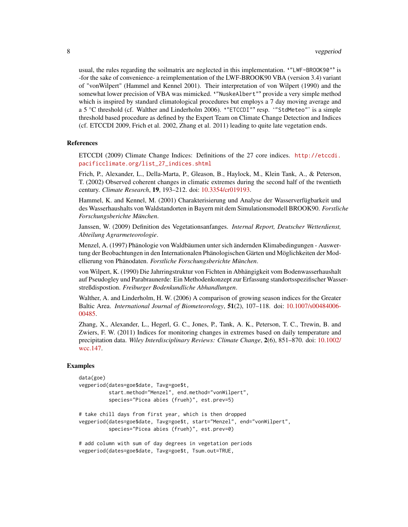usual, the rules regarding the soilmatrix are neglected in this implementation. '"LWF-BROOK90"' is -for the sake of convenience- a reimplementation of the LWF-BROOK90 VBA (version 3.4) variant of "vonWilpert" (Hammel and Kennel 2001). Their interpretation of von Wilpert (1990) and the somewhat lower precision of VBA was mimicked. '"NuskeAlbert"' provide a very simple method which is inspired by standard climatological procedures but employs a 7 day moving average and a 5 °C threshold (cf. Walther and Linderholm 2006). '"ETCCDI"' resp. '"StdMeteo"' is a simple threshold based procedure as defined by the Expert Team on Climate Change Detection and Indices (cf. ETCCDI 2009, Frich et al. 2002, Zhang et al. 2011) leading to quite late vegetation ends.

#### References

ETCCDI (2009) Climate Change Indices: Definitions of the 27 core indices. [http://etccdi.](http://etccdi.pacificclimate.org/list_27_indices.shtml) [pacificclimate.org/list\\_27\\_indices.shtml](http://etccdi.pacificclimate.org/list_27_indices.shtml)

Frich, P., Alexander, L., Della-Marta, P., Gleason, B., Haylock, M., Klein Tank, A., & Peterson, T. (2002) Observed coherent changes in climatic extremes during the second half of the twentieth century. *Climate Research*, 19, 193–212. doi: [10.3354/cr019193.](http://doi.org/10.3354/cr019193)

Hammel, K. and Kennel, M. (2001) Charakterisierung und Analyse der Wasserverfügbarkeit und des Wasserhaushalts von Waldstandorten in Bayern mit dem Simulationsmodell BROOK90. *Forstliche Forschungsberichte München*.

Janssen, W. (2009) Definition des Vegetationsanfanges. *Internal Report, Deutscher Wetterdienst, Abteilung Agrarmeteorologie*.

Menzel, A. (1997) Phänologie von Waldbäumen unter sich ändernden Klimabedingungen - Auswertung der Beobachtungen in den Internationalen Phänologischen Gärten und Möglichkeiten der Modellierung von Phänodaten. *Forstliche Forschungsberichte München*.

von Wilpert, K. (1990) Die Jahrringstruktur von Fichten in Abhängigkeit vom Bodenwasserhaushalt auf Pseudogley und Parabraunerde: Ein Methodenkonzept zur Erfassung standortsspezifischer Wasserstreßdispostion. *Freiburger Bodenkundliche Abhandlungen*.

Walther, A. and Linderholm, H. W. (2006) A comparison of growing season indices for the Greater Baltic Area. *International Journal of Biometeorology*, 51(2), 107–118. doi: [10.1007/s00484006-](http://doi.org/10.1007/s00484-006-0048-5) [00485.](http://doi.org/10.1007/s00484-006-0048-5)

Zhang, X., Alexander, L., Hegerl, G. C., Jones, P., Tank, A. K., Peterson, T. C., Trewin, B. and Zwiers, F. W. (2011) Indices for monitoring changes in extremes based on daily temperature and precipitation data. *Wiley Interdisciplinary Reviews: Climate Change*, 2(6), 851–870. doi: [10.1002/](http://doi.org/10.1002/wcc.147) [wcc.147.](http://doi.org/10.1002/wcc.147)

#### Examples

```
data(goe)
vegperiod(dates=goe$date, Tavg=goe$t,
          start.method="Menzel", end.method="vonWilpert",
          species="Picea abies (frueh)", est.prev=5)
# take chill days from first year, which is then dropped
vegperiod(dates=goe$date, Tavg=goe$t, start="Menzel", end="vonWilpert",
          species="Picea abies (frueh)", est.prev=0)
```
# add column with sum of day degrees in vegetation periods vegperiod(dates=goe\$date, Tavg=goe\$t, Tsum.out=TRUE,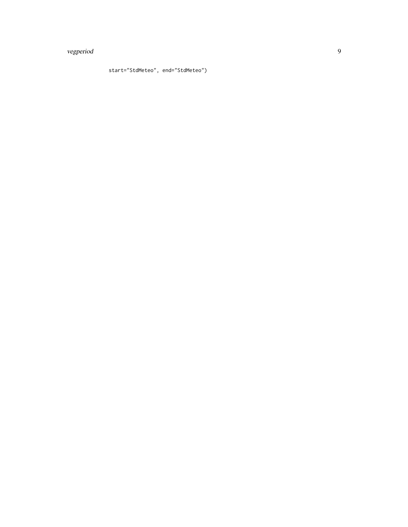### vegperiod 9

```
start="StdMeteo", end="StdMeteo")
```